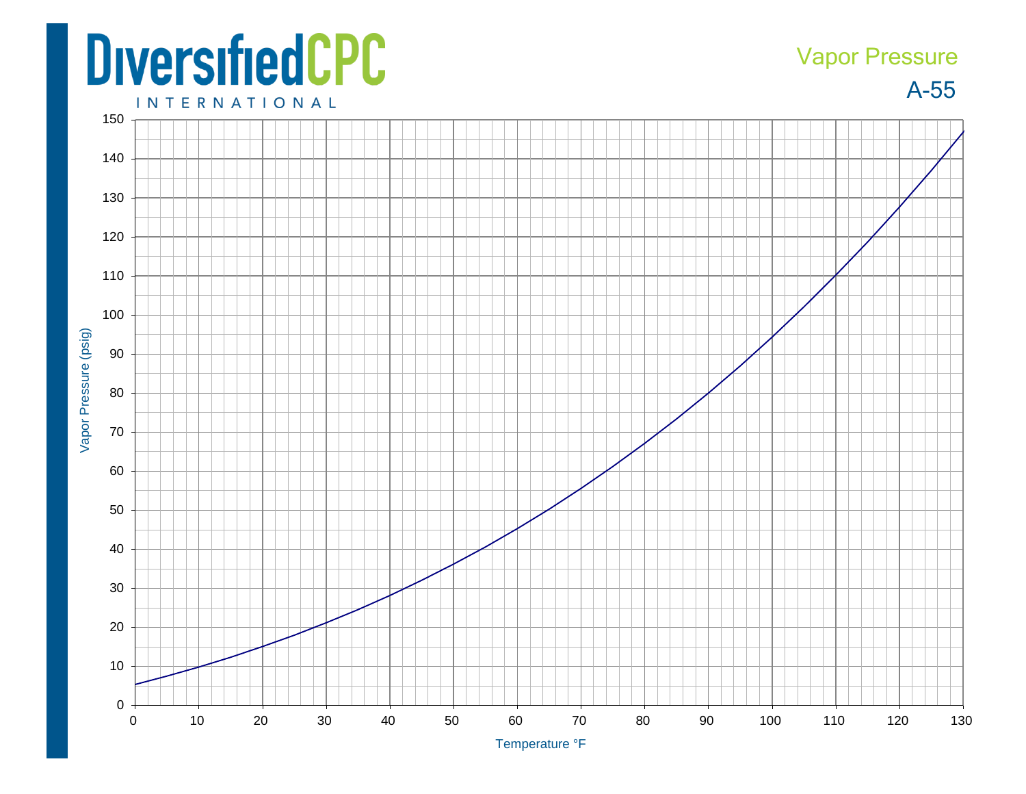## **DiversifiedCPC**

## Vapor Pressure

A-55